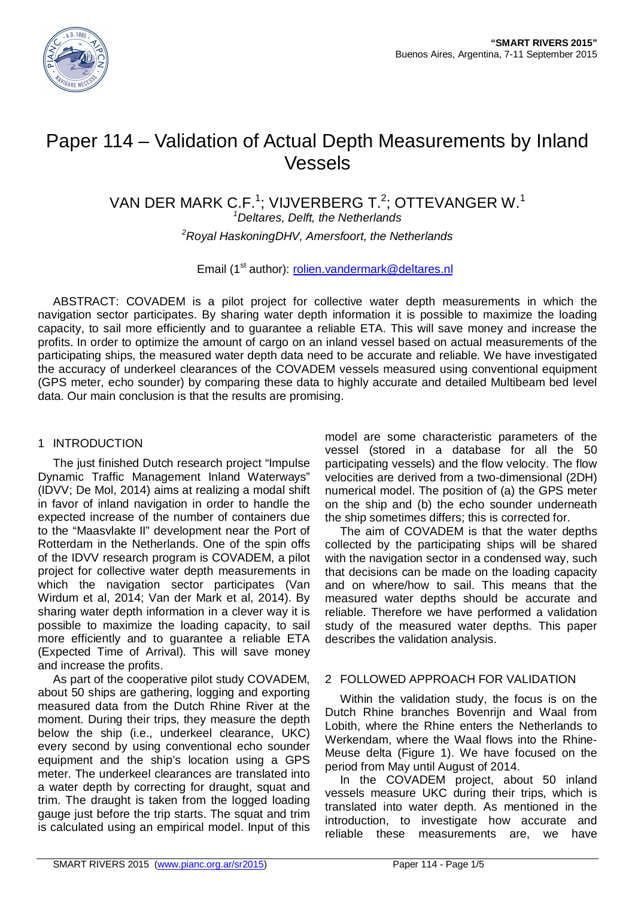

# Paper 114 – Validation of Actual Depth Measurements by Inland Vessels

VAN DER MARK C.F.<sup>1</sup>; VIJVERBERG T.<sup>2</sup>; OTTEVANGER W.<sup>1</sup>

*<sup>1</sup>Deltares, Delft, the Netherlands*

*<sup>2</sup>Royal HaskoningDHV, Amersfoort, the Netherlands*

Email (1<sup>st</sup> author): [rolien.vandermark@deltares.nl](mailto:rolien.vandermark@deltares.nl)

ABSTRACT: COVADEM is a pilot project for collective water depth measurements in which the navigation sector participates. By sharing water depth information it is possible to maximize the loading capacity, to sail more efficiently and to guarantee a reliable ETA. This will save money and increase the profits. In order to optimize the amount of cargo on an inland vessel based on actual measurements of the participating ships, the measured water depth data need to be accurate and reliable. We have investigated the accuracy of underkeel clearances of the COVADEM vessels measured using conventional equipment (GPS meter, echo sounder) by comparing these data to highly accurate and detailed Multibeam bed level data. Our main conclusion is that the results are promising.

### 1 INTRODUCTION

The just finished Dutch research project "Impulse Dynamic Traffic Management Inland Waterways" (IDVV; De Mol, 2014) aims at realizing a modal shift in favor of inland navigation in order to handle the expected increase of the number of containers due to the "Maasvlakte II" development near the Port of Rotterdam in the Netherlands. One of the spin offs of the IDVV research program is COVADEM, a pilot project for collective water depth measurements in which the navigation sector participates (Van Wirdum et al, 2014; Van der Mark et al, 2014). By sharing water depth information in a clever way it is possible to maximize the loading capacity, to sail more efficiently and to guarantee a reliable ETA (Expected Time of Arrival). This will save money and increase the profits.

As part of the cooperative pilot study COVADEM, about 50 ships are gathering, logging and exporting measured data from the Dutch Rhine River at the moment. During their trips, they measure the depth below the ship (i.e., underkeel clearance, UKC) every second by using conventional echo sounder equipment and the ship's location using a GPS meter. The underkeel clearances are translated into a water depth by correcting for draught, squat and trim. The draught is taken from the logged loading gauge just before the trip starts. The squat and trim is calculated using an empirical model. Input of this

model are some characteristic parameters of the vessel (stored in a database for all the 50 participating vessels) and the flow velocity. The flow velocities are derived from a two-dimensional (2DH) numerical model. The position of (a) the GPS meter on the ship and (b) the echo sounder underneath the ship sometimes differs; this is corrected for.

The aim of COVADEM is that the water depths collected by the participating ships will be shared with the navigation sector in a condensed way, such that decisions can be made on the loading capacity and on where/how to sail. This means that the measured water depths should be accurate and reliable. Therefore we have performed a validation study of the measured water depths. This paper describes the validation analysis.

### 2 FOLLOWED APPROACH FOR VALIDATION

Within the validation study, the focus is on the Dutch Rhine branches Bovenrijn and Waal from Lobith, where the Rhine enters the Netherlands to Werkendam, where the Waal flows into the Rhine-Meuse delta [\(Figure 1](#page-1-0)). We have focused on the period from May until August of 2014.

In the COVADEM project, about 50 inland vessels measure UKC during their trips, which is translated into water depth. As mentioned in the introduction, to investigate how accurate and reliable these measurements are, we have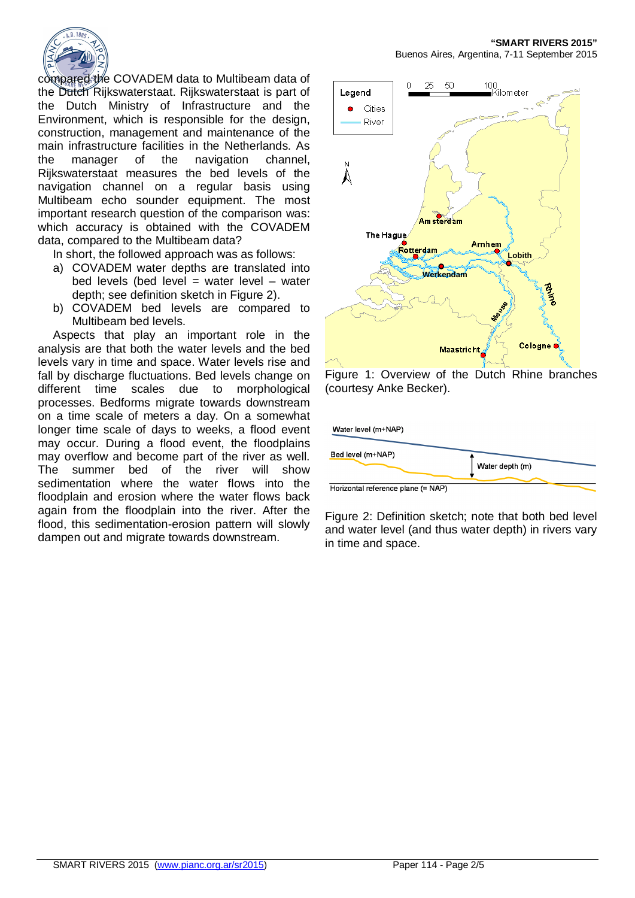

compared the COVADEM data to Multibeam data of the Dutch Rijkswaterstaat. Rijkswaterstaat is part of the Dutch Ministry of Infrastructure and the Environment, which is responsible for the design, construction, management and maintenance of the main infrastructure facilities in the Netherlands. As the manager of the navigation channel, Rijkswaterstaat measures the bed levels of the navigation channel on a regular basis using Multibeam echo sounder equipment. The most important research question of the comparison was: which accuracy is obtained with the COVADEM data, compared to the Multibeam data?

In short, the followed approach was as follows:

- a) COVADEM water depths are translated into bed levels (bed level  $=$  water level  $-$  water depth; see definition sketch in [Figure 2](#page-1-1)).
- b) COVADEM bed levels are compared to Multibeam bed levels.

Aspects that play an important role in the analysis are that both the water levels and the bed levels vary in time and space. Water levels rise and fall by discharge fluctuations. Bed levels change on different time scales due to morphological processes. Bedforms migrate towards downstream on a time scale of meters a day. On a somewhat longer time scale of days to weeks, a flood event may occur. During a flood event, the floodplains may overflow and become part of the river as well. The summer bed of the river will show sedimentation where the water flows into the floodplain and erosion where the water flows back again from the floodplain into the river. After the flood, this sedimentation-erosion pattern will slowly dampen out and migrate towards downstream.



<span id="page-1-0"></span>Figure 1: Overview of the Dutch Rhine branches (courtesy Anke Becker).

Water level (m+NAP) Bed level (m+NAP) Water depth (m)

Horizontal reference plane (= NAP)

<span id="page-1-1"></span>Figure 2: Definition sketch; note that both bed level and water level (and thus water depth) in rivers vary in time and space.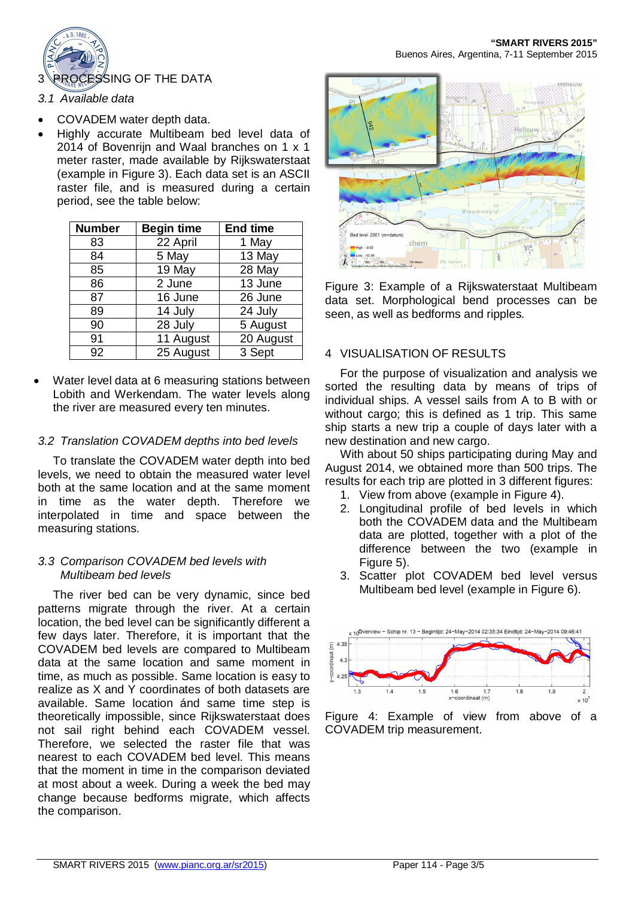

- · COVADEM water depth data.
- · Highly accurate Multibeam bed level data of 2014 of Bovenrijn and Waal branches on 1 x 1 meter raster, made available by Rijkswaterstaat (example in [Figure 3\)](#page-2-0). Each data set is an ASCII raster file, and is measured during a certain period, see the table below:

| <b>Number</b> | <b>Begin time</b> | <b>End time</b> |
|---------------|-------------------|-----------------|
| 83            | 22 April          | 1 May           |
| 84            | 5 May             | 13 May          |
| 85            | 19 May            | 28 May          |
| 86            | 2 June            | 13 June         |
| 87            | 16 June           | 26 June         |
| 89            | 14 July           | 24 July         |
| 90            | 28 July           | 5 August        |
| 91            | 11 August         | 20 August       |
| 92            | 25 August         | 3 Sept          |

Water level data at 6 measuring stations between Lobith and Werkendam. The water levels along the river are measured every ten minutes.

## *3.2 Translation COVADEM depths into bed levels*

To translate the COVADEM water depth into bed levels, we need to obtain the measured water level both at the same location and at the same moment in time as the water depth. Therefore we interpolated in time and space between the measuring stations.

### *3.3 Comparison COVADEM bed levels with Multibeam bed levels*

The river bed can be very dynamic, since bed patterns migrate through the river. At a certain location, the bed level can be significantly different a few days later. Therefore, it is important that the COVADEM bed levels are compared to Multibeam data at the same location and same moment in time, as much as possible. Same location is easy to realize as X and Y coordinates of both datasets are available. Same location ánd same time step is theoretically impossible, since Rijkswaterstaat does not sail right behind each COVADEM vessel. Therefore, we selected the raster file that was nearest to each COVADEM bed level. This means that the moment in time in the comparison deviated at most about a week. During a week the bed may change because bedforms migrate, which affects the comparison.



**"SMART RIVERS 2015"**

<span id="page-2-0"></span>Figure 3: Example of a Rijkswaterstaat Multibeam data set. Morphological bend processes can be seen, as well as bedforms and ripples.

## 4 VISUALISATION OF RESULTS

For the purpose of visualization and analysis we sorted the resulting data by means of trips of individual ships. A vessel sails from A to B with or without cargo; this is defined as 1 trip. This same ship starts a new trip a couple of days later with a new destination and new cargo.

With about 50 ships participating during May and August 2014, we obtained more than 500 trips. The results for each trip are plotted in 3 different figures:

- 1. View from above (example in [Figure 4\)](#page-2-1).
- 2. Longitudinal profile of bed levels in which both the COVADEM data and the Multibeam data are plotted, together with a plot of the difference between the two (example in [Figure 5](#page-3-0)).
- 3. Scatter plot COVADEM bed level versus Multibeam bed level (example in [Figure 6](#page-3-1)).



<span id="page-2-1"></span>Figure 4: Example of view from above of a COVADEM trip measurement.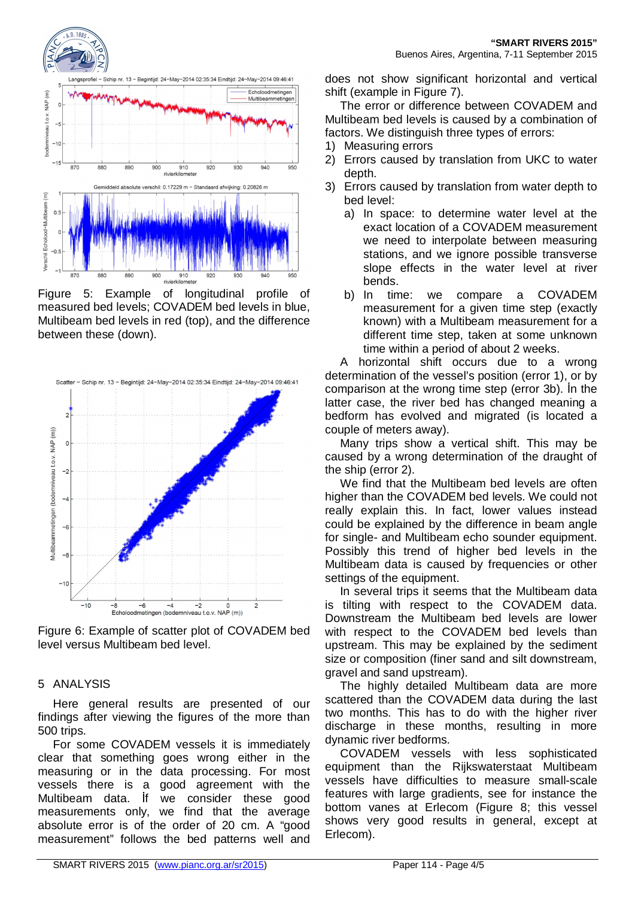

<span id="page-3-0"></span>Figure 5: Example of longitudinal profile of measured bed levels; COVADEM bed levels in blue, Multibeam bed levels in red (top), and the difference between these (down).



<span id="page-3-1"></span>Figure 6: Example of scatter plot of COVADEM bed level versus Multibeam bed level.

#### 5 ANALYSIS

Here general results are presented of our findings after viewing the figures of the more than 500 trips.

For some COVADEM vessels it is immediately clear that something goes wrong either in the measuring or in the data processing. For most vessels there is a good agreement with the Multibeam data. İf we consider these good measurements only, we find that the average absolute error is of the order of 20 cm. A "good measurement" follows the bed patterns well and

does not show significant horizontal and vertical shift (example in [Figure 7](#page-4-0)).

The error or difference between COVADEM and Multibeam bed levels is caused by a combination of factors. We distinguish three types of errors:

- 1) Measuring errors
- 2) Errors caused by translation from UKC to water depth.
- 3) Errors caused by translation from water depth to bed level:
	- a) In space: to determine water level at the exact location of a COVADEM measurement we need to interpolate between measuring stations, and we ignore possible transverse slope effects in the water level at river bends.
	- b) In time: we compare a COVADEM measurement for a given time step (exactly known) with a Multibeam measurement for a different time step, taken at some unknown time within a period of about 2 weeks.

A horizontal shift occurs due to a wrong determination of the vessel's position (error 1), or by comparison at the wrong time step (error 3b). İn the latter case, the river bed has changed meaning a bedform has evolved and migrated (is located a couple of meters away).

Many trips show a vertical shift. This may be caused by a wrong determination of the draught of the ship (error 2).

We find that the Multibeam bed levels are often higher than the COVADEM bed levels. We could not really explain this. In fact, lower values instead could be explained by the difference in beam angle for single- and Multibeam echo sounder equipment. Possibly this trend of higher bed levels in the Multibeam data is caused by frequencies or other settings of the equipment.

In several trips it seems that the Multibeam data is tilting with respect to the COVADEM data. Downstream the Multibeam bed levels are lower with respect to the COVADEM bed levels than upstream. This may be explained by the sediment size or composition (finer sand and silt downstream, gravel and sand upstream).

The highly detailed Multibeam data are more scattered than the COVADEM data during the last two months. This has to do with the higher river discharge in these months, resulting in more dynamic river bedforms.

COVADEM vessels with less sophisticated equipment than the Rijkswaterstaat Multibeam vessels have difficulties to measure small-scale features with large gradients, see for instance the bottom vanes at Erlecom ([Figure 8;](#page-4-1) this vessel shows very good results in general, except at Erlecom).